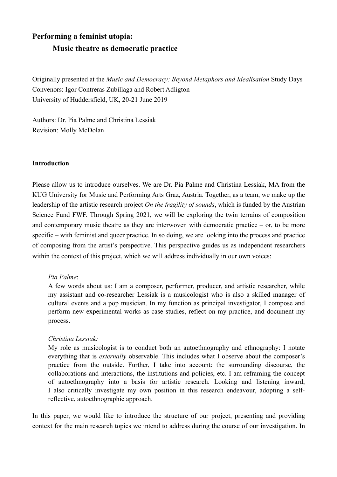# **Performing a feminist utopia: Music theatre as democratic practice**

Originally presented at the *Music and Democracy: Beyond Metaphors and Idealisation* Study Days Convenors: Igor Contreras Zubillaga and Robert Adligton University of Huddersfield, UK, 20-21 June 2019

Authors: Dr. Pia Palme and Christina Lessiak Revision: Molly McDolan

# **Introduction**

Please allow us to introduce ourselves. We are Dr. Pia Palme and Christina Lessiak, MA from the KUG University for Music and Performing Arts Graz, Austria. Together, as a team, we make up the leadership of the artistic research project *On the fragility of sounds*, which is funded by the Austrian Science Fund FWF. Through Spring 2021, we will be exploring the twin terrains of composition and contemporary music theatre as they are interwoven with democratic practice – or, to be more specific – with feminist and queer practice. In so doing, we are looking into the process and practice of composing from the artist's perspective. This perspective guides us as independent researchers within the context of this project, which we will address individually in our own voices:

# *Pia Palme*:

A few words about us: I am a composer, performer, producer, and artistic researcher, while my assistant and co-researcher Lessiak is a musicologist who is also a skilled manager of cultural events and a pop musician. In my function as principal investigator, I compose and perform new experimental works as case studies, reflect on my practice, and document my process.

# *Christina Lessiak:*

My role as musicologist is to conduct both an autoethnography and ethnography: I notate everything that is *externally* observable. This includes what I observe about the composer's practice from the outside. Further, I take into account: the surrounding discourse, the collaborations and interactions, the institutions and policies, etc. I am reframing the concept of autoethnography into a basis for artistic research. Looking and listening inward, I also critically investigate my own position in this research endeavour, adopting a selfreflective, autoethnographic approach.

In this paper, we would like to introduce the structure of our project, presenting and providing context for the main research topics we intend to address during the course of our investigation. In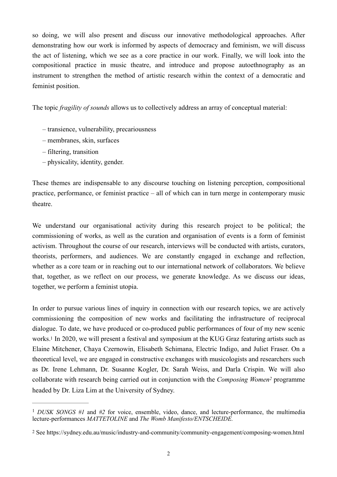so doing, we will also present and discuss our innovative methodological approaches. After demonstrating how our work is informed by aspects of democracy and feminism, we will discuss the act of listening, which we see as a core practice in our work. Finally, we will look into the compositional practice in music theatre, and introduce and propose autoethnography as an instrument to strengthen the method of artistic research within the context of a democratic and feminist position.

The topic *fragility of sounds* allows us to collectively address an array of conceptual material:

- transience, vulnerability, precariousness
- membranes, skin, surfaces
- filtering, transition
- physicality, identity, gender.

These themes are indispensable to any discourse touching on listening perception, compositional practice, performance, or feminist practice – all of which can in turn merge in contemporary music theatre.

We understand our organisational activity during this research project to be political; the commissioning of works, as well as the curation and organisation of events is a form of feminist activism. Throughout the course of our research, interviews will be conducted with artists, curators, theorists, performers, and audiences. We are constantly engaged in exchange and reflection, whether as a core team or in reaching out to our international network of collaborators. We believe that, together, as we reflect on our process, we generate knowledge. As we discuss our ideas, together, we perform a feminist utopia.

<span id="page-1-2"></span>In order to pursue various lines of inquiry in connection with our research topics, we are actively commissioning the composition of new works and facilitating the infrastructure of reciprocal dialogue. To date, we have produced or co-produced public performances of four of my new scenic works[.1](#page-1-0) In 2020, we will present a festival and symposium at the KUG Graz featuring artists such as Elaine Mitchener, Chaya Czernowin, Elisabeth Schimana, Electric Indigo, and Juliet Fraser. On a theoretical level, we are engaged in constructive exchanges with musicologists and researchers such as Dr. Irene Lehmann, Dr. Susanne Kogler, Dr. Sarah Weiss, and Darla Crispin. We will also collaborate with research being carried out in conjunction with the *Composing Women*<sup>[2](#page-1-1)</sup> programme headed by Dr. Liza Lim at the University of Sydney.

<span id="page-1-3"></span><span id="page-1-0"></span><sup>&</sup>lt;sup>[1](#page-1-2)</sup> DUSK SONGS #1 and #2 for voice, ensemble, video, dance, and lecture-performance, the multimedia lecture-performances *MATTETOLINE* and *The Womb Manifesto/ENTSCHEIDE.*

<span id="page-1-1"></span>[<sup>2</sup>](#page-1-3) See https://sydney.edu.au/music/industry-and-community/community-engagement/composing-women.html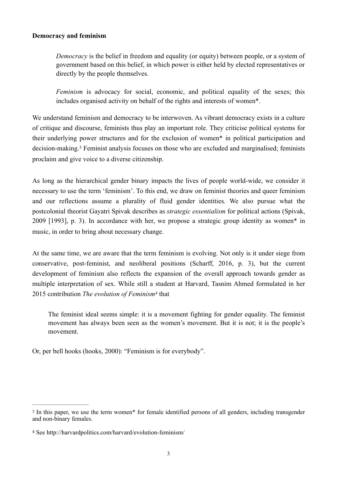## **Democracy and feminism**

*Democracy* is the belief in freedom and equality (or equity) between people, or a system of government based on this belief, in which power is either held by elected representatives or directly by the people themselves.

*Feminism* is advocacy for social, economic, and political equality of the sexes; this includes organised activity on behalf of the rights and interests of women\*.

<span id="page-2-2"></span>We understand feminism and democracy to be interwoven. As vibrant democracy exists in a culture of critique and discourse, feminists thus play an important role. They criticise political systems for their underlying power structures and for the exclusion of women\* in political participation and decision-making.<sup>3</sup>Feminist analysis focuses on those who are excluded and marginalised; feminists proclaim and give voice to a diverse citizenship.

As long as the hierarchical gender binary impacts the lives of people world-wide, we consider it necessary to use the term 'feminism'. To this end, we draw on feminist theories and queer feminism and our reflections assume a plurality of fluid gender identities. We also pursue what the postcolonial theorist Gayatri Spivak describes as *strategic essentialism* for political actions (Spivak, 2009 [1993], p. 3). In accordance with her, we propose a strategic group identity as women\* in music, in order to bring about necessary change.

At the same time, we are aware that the term feminism is evolving. Not only is it under siege from conservative, post-feminist, and neoliberal positions (Scharff, 2016, p. 3), but the current development of feminism also reflects the expansion of the overall approach towards gender as multiple interpretation of sex. While still a student at Harvard, Tasnim Ahmed formulated in her 2015 contribution *The evolution of Feminism<sup>[4](#page-2-1)</sup>* that

<span id="page-2-3"></span>The feminist ideal seems simple: it is a movement fighting for gender equality. The feminist movement has always been seen as the women's movement. But it is not; it is the people's movement.

Or, per bell hooks (hooks, 2000): "Feminism is for everybody".

<span id="page-2-0"></span><sup>&</sup>lt;sup>[3](#page-2-2)</sup> In this paper, we use the term women\* for female identified persons of all genders, including transgender and non-binary females.

<span id="page-2-1"></span>[<sup>4</sup>](#page-2-3) See http://harvardpolitics.com/harvard/evolution-feminism/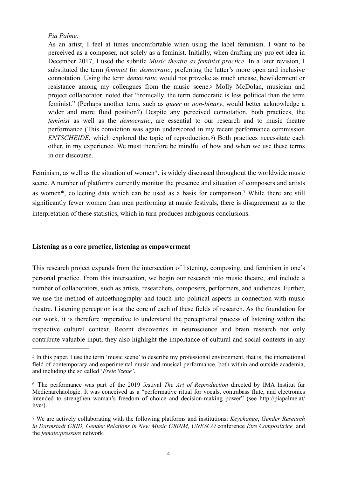# *Pia Palme:*

<span id="page-3-3"></span>As an artist, I feel at times uncomfortable when using the label feminism. I want to be perceived as a composer, not solely as a feminist. Initially, when drafting my project idea in December 2017, I used the subtitle *Music theatre as feminist practice*. In a later revision, I substituted the term *feminist* for *democratic*, preferring the latter's more open and inclusive connotation. Using the term *democratic* would not provoke as much unease, bewilderment or resistance among my colleagues from the music scene.[5](#page-3-0) Molly McDolan, musician and project collaborator, noted that "ironically, the term democratic is less political than the term feminist." (Perhaps another term, such as *queer* or *non-binary*, would better acknowledge a wider and more fluid position?) Despite any perceived connotation, both practices, the *feminist* as well as the *democratic*, are essential to our research and to music theatre performance (This conviction was again underscored in my recent performance commission *ENTSCHEIDE*, which explored the topic of reproduction.<sup>6</sup>) Both practices necessitate each other, in my experience. We must therefore be mindful of how and when we use these terms in our discourse.

<span id="page-3-5"></span><span id="page-3-4"></span>Feminism, as well as the situation of women\*, is widely discussed throughout the worldwide music scene. A number of platforms currently monitor the presence and situation of composers and artists as women\*, collecting data which can be used as a basis for comparison[.](#page-3-2)<sup>[7](#page-3-2)</sup> While there are still significantly fewer women than men performing at music festivals, there is disagreement as to the interpretation of these statistics, which in turn produces ambiguous conclusions.

#### **Listening as a core practice, listening as empowerment**

This research project expands from the intersection of listening, composing, and feminism in one's personal practice. From this intersection, we begin our research into music theatre, and include a number of collaborators, such as artists, researchers, composers, performers, and audiences. Further, we use the method of autoethnography and touch into political aspects in connection with music theatre. Listening perception is at the core of each of these fields of research. As the foundation for our work, it is therefore imperative to understand the perceptional process of listening within the respective cultural context. Recent discoveries in neuroscience and brain research not only contribute valuable input, they also highlight the importance of cultural and social contexts in any

<span id="page-3-0"></span>[<sup>5</sup>](#page-3-3) In this paper, I use the term 'music scene' to describe my professional environment, that is, the international field of contemporary and experimental music and musical performance, both within and outside academia, and including the so called '*Freie Szene'*.

<span id="page-3-1"></span>The performance was part of the 2019 festival *The Art of Reproduction* directed by IMA Institut für [6](#page-3-4) Medienarchäologie. It was conceived as a "performative ritual for vocals, contrabass flute, and electronics intended to strengthen woman's freedom of choice and decision-making power" (see http://piapalme.at/  $live$ ).

<span id="page-3-2"></span>[<sup>7</sup>](#page-3-5) We are actively collaborating with the following platforms and institutions: *Keychange*, *Gender Research in Darmstadt GRID, Gender Relations in New Music GRiNM, UNESCO* conference *Être Compositrice,* and the *female:pressure* network.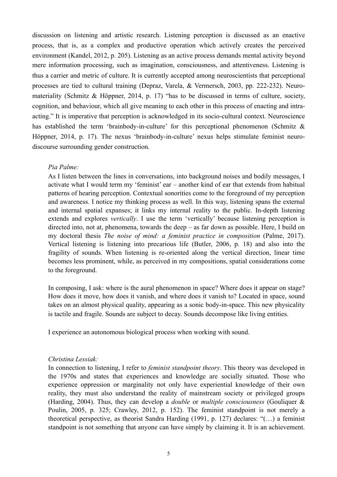discussion on listening and artistic research. Listening perception is discussed as an enactive process, that is, as a complex and productive operation which actively creates the perceived environment (Kandel, 2012, p. 205). Listening as an active process demands mental activity beyond mere information processing, such as imagination, consciousness, and attentiveness. Listening is thus a carrier and metric of culture. It is currently accepted among neuroscientists that perceptional processes are tied to cultural training (Depraz, Varela, & Vermersch, 2003, pp. 222-232). Neuromateriality (Schmitz & Höppner, 2014, p. 17) "has to be discussed in terms of culture, society, cognition, and behaviour, which all give meaning to each other in this process of enacting and intraacting." It is imperative that perception is acknowledged in its socio-cultural context. Neuroscience has established the term 'brainbody-in-culture' for this perceptional phenomenon (Schmitz & Höppner, 2014, p. 17). The nexus 'brainbody-in-culture' nexus helps stimulate feminist neurodiscourse surrounding gender construction.

## *Pia Palme:*

As I listen between the lines in conversations, into background noises and bodily messages, I activate what I would term my 'feminist' ear – another kind of ear that extends from habitual patterns of hearing perception. Contextual sonorities come to the foreground of my perception and awareness. I notice my thinking process as well. In this way, listening spans the external and internal spatial expanses; it links my internal reality to the public. In-depth listening extends and explores *vertically*. I use the term 'vertically' because listening perception is directed into, not at, phenomena, towards the deep – as far down as possible. Here, I build on my doctoral thesis *The noise of mind: a feminist practice in composition* (Palme, 2017). Vertical listening is listening into precarious life (Butler, 2006, p. 18) and also into the fragility of sounds. When listening is re-oriented along the vertical direction, linear time becomes less prominent, while, as perceived in my compositions, spatial considerations come to the foreground.

In composing, I ask: where is the aural phenomenon in space? Where does it appear on stage? How does it move, how does it vanish, and where does it vanish to? Located in space, sound takes on an almost physical quality, appearing as a sonic body-in-space. This new physicality is tactile and fragile. Sounds are subject to decay. Sounds decompose like living entities.

I experience an autonomous biological process when working with sound.

#### *Christina Lessiak:*

In connection to listening, I refer to *feminist standpoint theory*. This theory was developed in the 1970s and states that experiences and knowledge are socially situated. Those who experience oppression or marginality not only have experiential knowledge of their own reality, they must also understand the reality of mainstream society or privileged groups (Harding, 2004). Thus, they can develop a *double* or *multiple consciousness* (Gouliquer & Poulin, 2005, p. 325; Crawley, 2012, p. 152). The feminist standpoint is not merely a theoretical perspective, as theorist Sandra Harding (1991, p. 127) declares: "(…) a feminist standpoint is not something that anyone can have simply by claiming it. It is an achievement.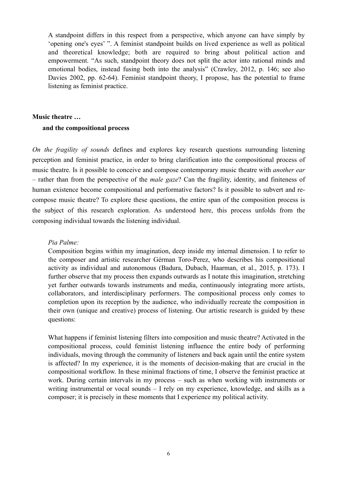A standpoint differs in this respect from a perspective, which anyone can have simply by 'opening one's eyes' ". A feminist standpoint builds on lived experience as well as political and theoretical knowledge; both are required to bring about political action and empowerment. "As such, standpoint theory does not split the actor into rational minds and emotional bodies, instead fusing both into the analysis" (Crawley, 2012, p. 146; see also Davies 2002, pp. 62-64). Feminist standpoint theory, I propose, has the potential to frame listening as feminist practice.

#### **Music theatre …**

#### **and the compositional process**

*On the fragility of sounds* defines and explores key research questions surrounding listening perception and feminist practice, in order to bring clarification into the compositional process of music theatre. Is it possible to conceive and compose contemporary music theatre with *another ear* – rather than from the perspective of the *male gaze*? Can the fragility, identity, and finiteness of human existence become compositional and performative factors? Is it possible to subvert and recompose music theatre? To explore these questions, the entire span of the composition process is the subject of this research exploration. As understood here, this process unfolds from the composing individual towards the listening individual.

#### *Pia Palme:*

Composition begins within my imagination, deep inside my internal dimension. I to refer to the composer and artistic researcher Gérman Toro-Perez, who describes his compositional activity as individual and autonomous (Badura, Dubach, Haarman, et al., 2015, p. 173). I further observe that my process then expands outwards as I notate this imagination, stretching yet further outwards towards instruments and media, continuously integrating more artists, collaborators, and interdisciplinary performers. The compositional process only comes to completion upon its reception by the audience, who individually recreate the composition in their own (unique and creative) process of listening. Our artistic research is guided by these questions:

What happens if feminist listening filters into composition and music theatre? Activated in the compositional process, could feminist listening influence the entire body of performing individuals, moving through the community of listeners and back again until the entire system is affected? In my experience, it is the moments of decision-making that are crucial in the compositional workflow. In these minimal fractions of time, I observe the feminist practice at work. During certain intervals in my process – such as when working with instruments or writing instrumental or vocal sounds – I rely on my experience, knowledge, and skills as a composer; it is precisely in these moments that I experience my political activity.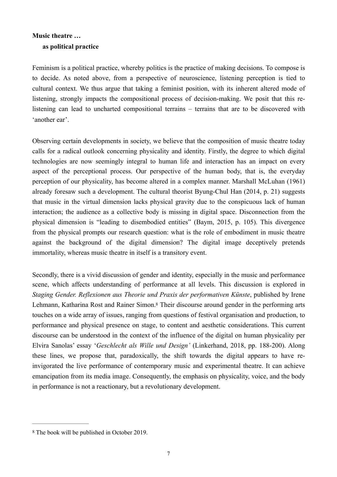# **Music theatre … as political practice**

Feminism is a political practice, whereby politics is the practice of making decisions. To compose is to decide. As noted above, from a perspective of neuroscience, listening perception is tied to cultural context. We thus argue that taking a feminist position, with its inherent altered mode of listening, strongly impacts the compositional process of decision-making. We posit that this relistening can lead to uncharted compositional terrains – terrains that are to be discovered with 'another ear'.

Observing certain developments in society, we believe that the composition of music theatre today calls for a radical outlook concerning physicality and identity. Firstly, the degree to which digital technologies are now seemingly integral to human life and interaction has an impact on every aspect of the perceptional process. Our perspective of the human body, that is, the everyday perception of our physicality, has become altered in a complex manner. Marshall McLuhan (1961) already foresaw such a development. The cultural theorist Byung-Chul Han (2014, p. 21) suggests that music in the virtual dimension lacks physical gravity due to the conspicuous lack of human interaction; the audience as a collective body is missing in digital space. Disconnection from the physical dimension is "leading to disembodied entities" (Baym, 2015, p. 105). This divergence from the physical prompts our research question: what is the role of embodiment in music theatre against the background of the digital dimension? The digital image deceptively pretends immortality, whereas music theatre in itself is a transitory event.

<span id="page-6-1"></span>Secondly, there is a vivid discussion of gender and identity, especially in the music and performance scene, which affects understanding of performance at all levels. This discussion is explored in *Staging Gender. Reflexionen aus Theorie und Praxis der performativen Künste*, published by Irene Lehmann, Katharina Rost and Rainer Simon[.8](#page-6-0) Their discourse around gender in the performing arts touches on a wide array of issues, ranging from questions of festival organisation and production, to performance and physical presence on stage, to content and aesthetic considerations. This current discourse can be understood in the context of the influence of the digital on human physicality per Elvira Sanolas' essay '*Geschlecht als Wille und Design'* (Linkerhand, 2018, pp. 188-200). Along these lines, we propose that, paradoxically, the shift towards the digital appears to have reinvigorated the live performance of contemporary music and experimental theatre. It can achieve emancipation from its media image. Consequently, the emphasis on physicality, voice, and the body in performance is not a reactionary, but a revolutionary development.

<span id="page-6-0"></span>[<sup>8</sup>](#page-6-1) The book will be published in October 2019.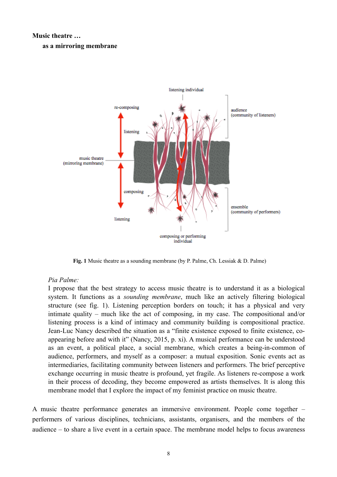#### **Music theatre …**

#### **as a mirroring membrane**



**Fig. 1** Music theatre as a sounding membrane (by P. Palme, Ch. Lessiak & D. Palme)

#### *Pia Palme:*

I propose that the best strategy to access music theatre is to understand it as a biological system. It functions as a *sounding membrane*, much like an actively filtering biological structure (see fig. 1). Listening perception borders on touch; it has a physical and very intimate quality – much like the act of composing, in my case. The compositional and/or listening process is a kind of intimacy and community building is compositional practice. Jean-Luc Nancy described the situation as a "finite existence exposed to finite existence, coappearing before and with it" (Nancy, 2015, p. xi). A musical performance can be understood as an event, a political place, a social membrane, which creates a being-in-common of audience, performers, and myself as a composer: a mutual exposition. Sonic events act as intermediaries, facilitating community between listeners and performers. The brief perceptive exchange occurring in music theatre is profound, yet fragile. As listeners re-compose a work in their process of decoding, they become empowered as artists themselves. It is along this membrane model that I explore the impact of my feminist practice on music theatre.

A music theatre performance generates an immersive environment. People come together – performers of various disciplines, technicians, assistants, organisers, and the members of the audience – to share a live event in a certain space. The membrane model helps to focus awareness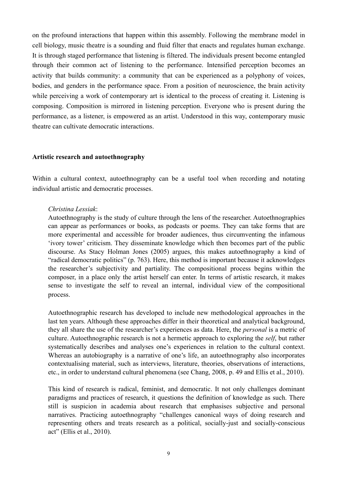on the profound interactions that happen within this assembly. Following the membrane model in cell biology, music theatre is a sounding and fluid filter that enacts and regulates human exchange. It is through staged performance that listening is filtered. The individuals present become entangled through their common act of listening to the performance. Intensified perception becomes an activity that builds community: a community that can be experienced as a polyphony of voices, bodies, and genders in the performance space. From a position of neuroscience, the brain activity while perceiving a work of contemporary art is identical to the process of creating it. Listening is composing. Composition is mirrored in listening perception. Everyone who is present during the performance, as a listener, is empowered as an artist. Understood in this way, contemporary music theatre can cultivate democratic interactions.

#### **Artistic research and autoethnography**

Within a cultural context, autoethnography can be a useful tool when recording and notating individual artistic and democratic processes.

#### *Christina Lessiak*:

Autoethnography is the study of culture through the lens of the researcher. Autoethnographies can appear as performances or books, as podcasts or poems. They can take forms that are more experimental and accessible for broader audiences, thus circumventing the infamous 'ivory tower' criticism. They disseminate knowledge which then becomes part of the public discourse. As Stacy Holman Jones (2005) argues, this makes autoethnography a kind of "radical democratic politics" (p. 763). Here, this method is important because it acknowledges the researcher's subjectivity and partiality. The compositional process begins within the composer, in a place only the artist herself can enter. In terms of artistic research, it makes sense to investigate the self to reveal an internal, individual view of the compositional process.

Autoethnographic research has developed to include new methodological approaches in the last ten years. Although these approaches differ in their theoretical and analytical background, they all share the use of the researcher's experiences as data. Here, the *personal* is a metric of culture. Autoethnographic research is not a hermetic approach to exploring the *self*, but rather systematically describes and analyses one's experiences in relation to the cultural context. Whereas an autobiography is a narrative of one's life, an autoethnography also incorporates contextualising material, such as interviews, literature, theories, observations of interactions, etc., in order to understand cultural phenomena (see Chang, 2008, p. 49 and Ellis et al., 2010).

This kind of research is radical, feminist, and democratic. It not only challenges dominant paradigms and practices of research, it questions the definition of knowledge as such. There still is suspicion in academia about research that emphasises subjective and personal narratives. Practicing autoethnography "challenges canonical ways of doing research and representing others and treats research as a political, socially-just and socially-conscious act" (Ellis et al., 2010).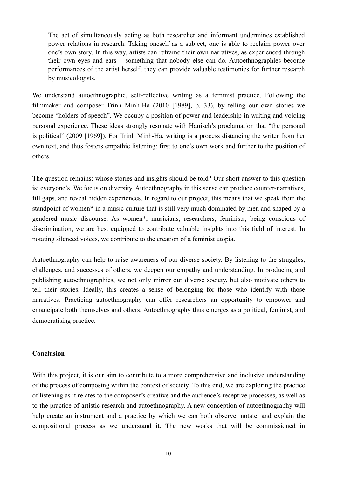The act of simultaneously acting as both researcher and informant undermines established power relations in research. Taking oneself as a subject, one is able to reclaim power over one's own story. In this way, artists can reframe their own narratives, as experienced through their own eyes and ears – something that nobody else can do. Autoethnographies become performances of the artist herself; they can provide valuable testimonies for further research by musicologists.

We understand autoethnographic, self-reflective writing as a feminist practice. Following the filmmaker and composer Trinh Minh-Ha (2010 [1989], p. 33), by telling our own stories we become "holders of speech". We occupy a position of power and leadership in writing and voicing personal experience. These ideas strongly resonate with Hanisch's proclamation that "the personal is political" (2009 [1969]). For Trinh Minh-Ha, writing is a process distancing the writer from her own text, and thus fosters empathic listening: first to one's own work and further to the position of others.

The question remains: whose stories and insights should be told? Our short answer to this question is: everyone's. We focus on diversity. Autoethnography in this sense can produce counter-narratives, fill gaps, and reveal hidden experiences. In regard to our project, this means that we speak from the standpoint of women\* in a music culture that is still very much dominated by men and shaped by a gendered music discourse. As women\*, musicians, researchers, feminists, being conscious of discrimination, we are best equipped to contribute valuable insights into this field of interest. In notating silenced voices, we contribute to the creation of a feminist utopia.

Autoethnography can help to raise awareness of our diverse society. By listening to the struggles, challenges, and successes of others, we deepen our empathy and understanding. In producing and publishing autoethnographies, we not only mirror our diverse society, but also motivate others to tell their stories. Ideally, this creates a sense of belonging for those who identify with those narratives. Practicing autoethnography can offer researchers an opportunity to empower and emancipate both themselves and others. Autoethnography thus emerges as a political, feminist, and democratising practice.

# **Conclusion**

With this project, it is our aim to contribute to a more comprehensive and inclusive understanding of the process of composing within the context of society. To this end, we are exploring the practice of listening as it relates to the composer's creative and the audience's receptive processes, as well as to the practice of artistic research and autoethnography. A new conception of autoethnography will help create an instrument and a practice by which we can both observe, notate, and explain the compositional process as we understand it. The new works that will be commissioned in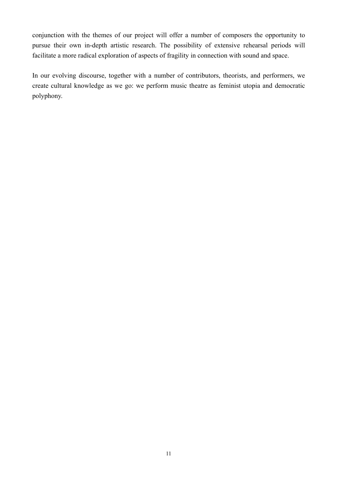conjunction with the themes of our project will offer a number of composers the opportunity to pursue their own in-depth artistic research. The possibility of extensive rehearsal periods will facilitate a more radical exploration of aspects of fragility in connection with sound and space.

In our evolving discourse, together with a number of contributors, theorists, and performers, we create cultural knowledge as we go: we perform music theatre as feminist utopia and democratic polyphony.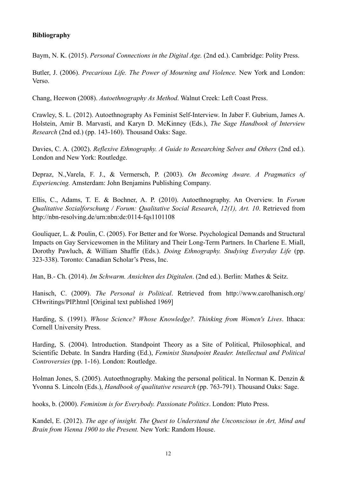# **Bibliography**

Baym, N. K. (2015). *Personal Connections in the Digital Age.* (2nd ed.). Cambridge: Polity Press.

Butler, J. (2006). *Precarious Life. The Power of Mourning and Violence.* New York and London: Verso.

Chang, Heewon (2008). *Autoethnography As Method*. Walnut Creek: Left Coast Press.

Crawley, S. L. (2012). Autoethnography As Feminist Self-Interview. In Jaber F. Gubrium, James A. Holstein, Amir B. Marvasti, and Karyn D. McKinney (Eds.), *The Sage Handbook of Interview Research* (2nd ed.) (pp. 143-160). Thousand Oaks: Sage.

Davies, C. A. (2002). *Reflexive Ethnography. A Guide to Researching Selves and Others* (2nd ed.). London and New York: Routledge.

Depraz, N.,Varela, F. J., & Vermersch, P. (2003). *On Becoming Aware. A Pragmatics of Experiencing.* Amsterdam: John Benjamins Publishing Company.

Ellis, C., Adams, T. E. & Bochner, A. P. (2010). Autoethnography. An Overview. In *Forum Qualitative Sozialforschung / Forum: Qualitative Social Research*, *12(1), Art. 10*. Retrieved from <http://nbn-resolving.de/urn:nbn:de:0114-fqs1101108>

Gouliquer, L. & Poulin, C. (2005). For Better and for Worse. Psychological Demands and Structural Impacts on Gay Servicewomen in the Military and Their Long-Term Partners. In Charlene E. Miall, Dorothy Pawluch, & William Shaffir (Eds.). *Doing Ethnography. Studying Everyday Life* (pp. 323-338). Toronto: Canadian Scholar's Press, Inc.

Han, B.- Ch. (2014). *Im Schwarm. Ansichten des Digitalen*. (2nd ed.). Berlin: Mathes & Seitz.

Hanisch, C. (2009). *The Personal is Political*. Retrieved from http://www.carolhanisch.org/ CHwritings/PIP.html [Original text published 1969]

Harding, S. (1991). *Whose Science? Whose Knowledge?. Thinking from Women's Lives*. Ithaca: Cornell University Press.

Harding, S. (2004). Introduction. Standpoint Theory as a Site of Political, Philosophical, and Scientific Debate. In Sandra Harding (Ed.), *Feminist Standpoint Reader. Intellectual and Political Controversies* (pp. 1-16). London: Routledge.

Holman Jones, S. (2005). Autoethnography. Making the personal political. In Norman K. Denzin & Yvonna S. Lincoln (Eds.), *Handbook of qualitative research* (pp. 763-791). Thousand Oaks: Sage.

hooks, b. (2000). *Feminism is for Everybody. Passionate Politics*. London: Pluto Press.

Kandel, E. (2012). *The age of insight. The Quest to Understand the Unconscious in Art, Mind and Brain from Vienna 1900 to the Present.* New York: Random House.